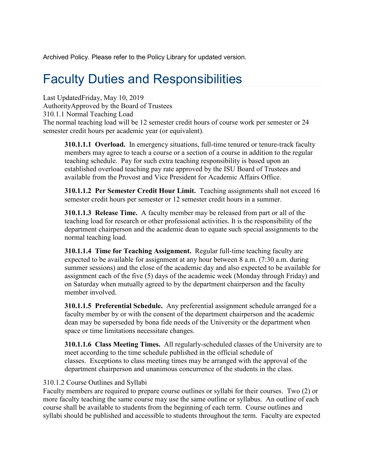Archived Policy. Please refer to the Policy Library for updated version.

# Faculty Duties and Responsibilities

Last UpdatedFriday, May 10, 2019 AuthorityApproved by the Board of Trustees 310.1.1 Normal Teaching Load The normal teaching load will be 12 semester credit hours of course work per semester or 24 semester credit hours per academic year (or equivalent).

**310.1.1.1 Overload.** In emergency situations, full-time tenured or tenure-track faculty members may agree to teach a course or a section of a course in addition to the regular teaching schedule. Pay for such extra teaching responsibility is based upon an established overload teaching pay rate approved by the ISU Board of Trustees and available from the Provost and Vice President for Academic Affairs Office.

**310.1.1.2 Per Semester Credit Hour Limit.** Teaching assignments shall not exceed 16 semester credit hours per semester or 12 semester credit hours in a summer.

**310.1.1.3 Release Time.** A faculty member may be released from part or all of the teaching load for research or other professional activities. It is the responsibility of the department chairperson and the academic dean to equate such special assignments to the normal teaching load.

**310.1.1.4 Time for Teaching Assignment.** Regular full-time teaching faculty are expected to be available for assignment at any hour between 8 a.m. (7:30 a.m. during summer sessions) and the close of the academic day and also expected to be available for assignment each of the five (5) days of the academic week (Monday through Friday) and on Saturday when mutually agreed to by the department chairperson and the faculty member involved.

**310.1.1.5 Preferential Schedule.** Any preferential assignment schedule arranged for a faculty member by or with the consent of the department chairperson and the academic dean may be superseded by bona fide needs of the University or the department when space or time limitations necessitate changes.

**310.1.1.6 Class Meeting Times.** All regularly-scheduled classes of the University are to meet according to the time schedule published in the official schedule of classes. Exceptions to class meeting times may be arranged with the approval of the department chairperson and unanimous concurrence of the students in the class.

# 310.1.2 Course Outlines and Syllabi

Faculty members are required to prepare course outlines or syllabi for their courses. Two (2) or more faculty teaching the same course may use the same outline or syllabus. An outline of each course shall be available to students from the beginning of each term. Course outlines and syllabi should be published and accessible to students throughout the term. Faculty are expected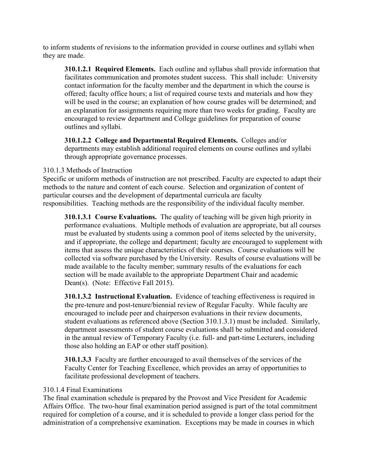to inform students of revisions to the information provided in course outlines and syllabi when they are made.

**310.1.2.1 Required Elements.** Each outline and syllabus shall provide information that facilitates communication and promotes student success. This shall include: University contact information for the faculty member and the department in which the course is offered; faculty office hours; a list of required course texts and materials and how they will be used in the course; an explanation of how course grades will be determined; and an explanation for assignments requiring more than two weeks for grading. Faculty are encouraged to review department and College guidelines for preparation of course outlines and syllabi.

**310.1.2.2 College and Departmental Required Elements.** Colleges and/or departments may establish additional required elements on course outlines and syllabi through appropriate governance processes.

# 310.1.3 Methods of Instruction

Specific or uniform methods of instruction are not prescribed. Faculty are expected to adapt their methods to the nature and content of each course. Selection and organization of content of particular courses and the development of departmental curricula are faculty responsibilities. Teaching methods are the responsibility of the individual faculty member.

**310.1.3.1 Course Evaluations.** The quality of teaching will be given high priority in performance evaluations. Multiple methods of evaluation are appropriate, but all courses must be evaluated by students using a common pool of items selected by the university, and if appropriate, the college and department; faculty are encouraged to supplement with items that assess the unique characteristics of their courses. Course evaluations will be collected via software purchased by the University. Results of course evaluations will be made available to the faculty member; summary results of the evaluations for each section will be made available to the appropriate Department Chair and academic Dean(s). (Note: Effective Fall 2015).

**310.1.3.2 Instructional Evaluation.** Evidence of teaching effectiveness is required in the pre-tenure and post-tenure/biennial review of Regular Faculty. While faculty are encouraged to include peer and chairperson evaluations in their review documents, student evaluations as referenced above (Section 310.1.3.1) must be included. Similarly, department assessments of student course evaluations shall be submitted and considered in the annual review of Temporary Faculty (i.e. full- and part-time Lecturers, including those also holding an EAP or other staff position).

**310.1.3.3** Faculty are further encouraged to avail themselves of the services of the Faculty Center for Teaching Excellence, which provides an array of opportunities to facilitate professional development of teachers.

## 310.1.4 Final Examinations

The final examination schedule is prepared by the Provost and Vice President for Academic Affairs Office. The two-hour final examination period assigned is part of the total commitment required for completion of a course, and it is scheduled to provide a longer class period for the administration of a comprehensive examination. Exceptions may be made in courses in which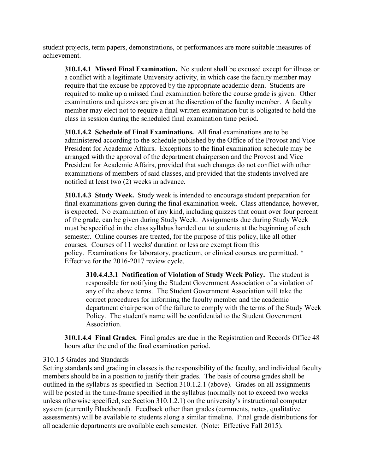student projects, term papers, demonstrations, or performances are more suitable measures of achievement.

**310.1.4.1 Missed Final Examination.** No student shall be excused except for illness or a conflict with a legitimate University activity, in which case the faculty member may require that the excuse be approved by the appropriate academic dean. Students are required to make up a missed final examination before the course grade is given. Other examinations and quizzes are given at the discretion of the faculty member. A faculty member may elect not to require a final written examination but is obligated to hold the class in session during the scheduled final examination time period.

**310.1.4.2 Schedule of Final Examinations.** All final examinations are to be administered according to the schedule published by the Office of the Provost and Vice President for Academic Affairs. Exceptions to the final examination schedule may be arranged with the approval of the department chairperson and the Provost and Vice President for Academic Affairs, provided that such changes do not conflict with other examinations of members of said classes, and provided that the students involved are notified at least two (2) weeks in advance.

**310.1.4.3 Study Week.** Study week is intended to encourage student preparation for final examinations given during the final examination week. Class attendance, however, is expected. No examination of any kind, including quizzes that count over four percent of the grade, can be given during Study Week. Assignments due during Study Week must be specified in the class syllabus handed out to students at the beginning of each semester. Online courses are treated, for the purpose of this policy, like all other courses. Courses of 11 weeks' duration or less are exempt from this policy. Examinations for laboratory, practicum, or clinical courses are permitted. \* Effective for the 2016-2017 review cycle.

**310.4.4.3.1 Notification of Violation of Study Week Policy.** The student is responsible for notifying the Student Government Association of a violation of any of the above terms. The Student Government Association will take the correct procedures for informing the faculty member and the academic department chairperson of the failure to comply with the terms of the Study Week Policy. The student's name will be confidential to the Student Government Association.

**310.1.4.4 Final Grades.** Final grades are due in the Registration and Records Office 48 hours after the end of the final examination period.

## 310.1.5 Grades and Standards

Setting standards and grading in classes is the responsibility of the faculty, and individual faculty members should be in a position to justify their grades. The basis of course grades shall be outlined in the syllabus as specified in Section 310.1.2.1 (above). Grades on all assignments will be posted in the time-frame specified in the syllabus (normally not to exceed two weeks unless otherwise specified, see Section 310.1.2.1) on the university's instructional computer system (currently Blackboard). Feedback other than grades (comments, notes, qualitative assessments) will be available to students along a similar timeline. Final grade distributions for all academic departments are available each semester. (Note: Effective Fall 2015).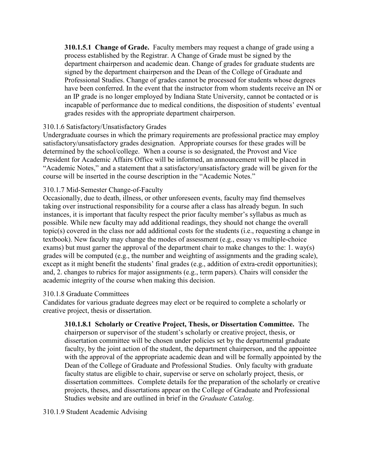**310.1.5.1 Change of Grade.** Faculty members may request a change of grade using a process established by the Registrar. A Change of Grade must be signed by the department chairperson and academic dean. Change of grades for graduate students are signed by the department chairperson and the Dean of the College of Graduate and Professional Studies. Change of grades cannot be processed for students whose degrees have been conferred. In the event that the instructor from whom students receive an IN or an IP grade is no longer employed by Indiana State University, cannot be contacted or is incapable of performance due to medical conditions, the disposition of students' eventual grades resides with the appropriate department chairperson.

## 310.1.6 Satisfactory/Unsatisfactory Grades

Undergraduate courses in which the primary requirements are professional practice may employ satisfactory/unsatisfactory grades designation. Appropriate courses for these grades will be determined by the school/college. When a course is so designated, the Provost and Vice President for Academic Affairs Office will be informed, an announcement will be placed in "Academic Notes," and a statement that a satisfactory/unsatisfactory grade will be given for the course will be inserted in the course description in the "Academic Notes."

# 310.1.7 Mid-Semester Change-of-Faculty

Occasionally, due to death, illness, or other unforeseen events, faculty may find themselves taking over instructional responsibility for a course after a class has already begun. In such instances, it is important that faculty respect the prior faculty member's syllabus as much as possible. While new faculty may add additional readings, they should not change the overall topic(s) covered in the class nor add additional costs for the students (i.e., requesting a change in textbook). New faculty may change the modes of assessment (e.g., essay vs multiple-choice exams) but must garner the approval of the department chair to make changes to the: 1. way(s) grades will be computed (e.g., the number and weighting of assignments and the grading scale), except as it might benefit the students' final grades (e.g., addition of extra-credit opportunities); and, 2. changes to rubrics for major assignments (e.g., term papers). Chairs will consider the academic integrity of the course when making this decision.

## 310.1.8 Graduate Committees

Candidates for various graduate degrees may elect or be required to complete a scholarly or creative project, thesis or dissertation.

# **310.1.8.1 Scholarly or Creative Project, Thesis, or Dissertation Committee.** The

chairperson or supervisor of the student's scholarly or creative project, thesis, or dissertation committee will be chosen under policies set by the departmental graduate faculty, by the joint action of the student, the department chairperson, and the appointee with the approval of the appropriate academic dean and will be formally appointed by the Dean of the College of Graduate and Professional Studies. Only faculty with graduate faculty status are eligible to chair, supervise or serve on scholarly project, thesis, or dissertation committees. Complete details for the preparation of the scholarly or creative projects, theses, and dissertations appear on the College of Graduate and Professional Studies website and are outlined in brief in the *Graduate Catalog*.

310.1.9 Student Academic Advising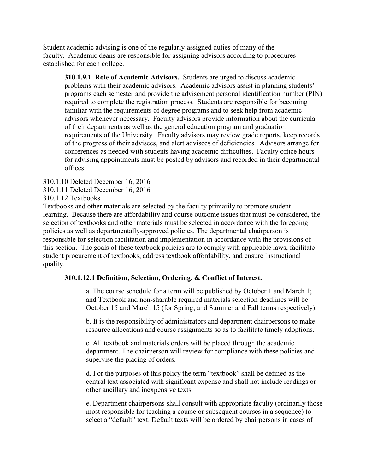Student academic advising is one of the regularly-assigned duties of many of the faculty. Academic deans are responsible for assigning advisors according to procedures established for each college.

**310.1.9.1 Role of Academic Advisors.** Students are urged to discuss academic problems with their academic advisors. Academic advisors assist in planning students' programs each semester and provide the advisement personal identification number (PIN) required to complete the registration process. Students are responsible for becoming familiar with the requirements of degree programs and to seek help from academic advisors whenever necessary. Faculty advisors provide information about the curricula of their departments as well as the general education program and graduation requirements of the University. Faculty advisors may review grade reports, keep records of the progress of their advisees, and alert advisees of deficiencies. Advisors arrange for conferences as needed with students having academic difficulties. Faculty office hours for advising appointments must be posted by advisors and recorded in their departmental offices.

310.1.10 Deleted December 16, 2016

310.1.11 Deleted December 16, 2016

310.1.12 Textbooks

Textbooks and other materials are selected by the faculty primarily to promote student learning. Because there are affordability and course outcome issues that must be considered, the selection of textbooks and other materials must be selected in accordance with the foregoing policies as well as departmentally-approved policies. The departmental chairperson is responsible for selection facilitation and implementation in accordance with the provisions of this section. The goals of these textbook policies are to comply with applicable laws, facilitate student procurement of textbooks, address textbook affordability, and ensure instructional quality.

#### **310.1.12.1 Definition, Selection, Ordering, & Conflict of Interest.**

a. The course schedule for a term will be published by October 1 and March 1; and Textbook and non-sharable required materials selection deadlines will be October 15 and March 15 (for Spring; and Summer and Fall terms respectively).

b. It is the responsibility of administrators and department chairpersons to make resource allocations and course assignments so as to facilitate timely adoptions.

c. All textbook and materials orders will be placed through the academic department. The chairperson will review for compliance with these policies and supervise the placing of orders.

d. For the purposes of this policy the term "textbook" shall be defined as the central text associated with significant expense and shall not include readings or other ancillary and inexpensive texts.

e. Department chairpersons shall consult with appropriate faculty (ordinarily those most responsible for teaching a course or subsequent courses in a sequence) to select a "default" text. Default texts will be ordered by chairpersons in cases of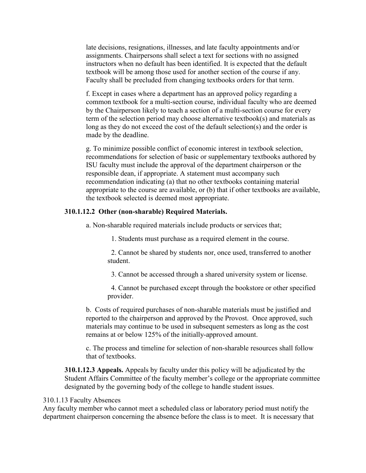late decisions, resignations, illnesses, and late faculty appointments and/or assignments. Chairpersons shall select a text for sections with no assigned instructors when no default has been identified. It is expected that the default textbook will be among those used for another section of the course if any. Faculty shall be precluded from changing textbooks orders for that term.

f. Except in cases where a department has an approved policy regarding a common textbook for a multi-section course, individual faculty who are deemed by the Chairperson likely to teach a section of a multi-section course for every term of the selection period may choose alternative textbook(s) and materials as long as they do not exceed the cost of the default selection(s) and the order is made by the deadline.

g. To minimize possible conflict of economic interest in textbook selection, recommendations for selection of basic or supplementary textbooks authored by ISU faculty must include the approval of the department chairperson or the responsible dean, if appropriate. A statement must accompany such recommendation indicating (a) that no other textbooks containing material appropriate to the course are available, or (b) that if other textbooks are available, the textbook selected is deemed most appropriate.

#### **310.1.12.2 Other (non-sharable) Required Materials.**

a. Non-sharable required materials include products or services that;

1. Students must purchase as a required element in the course.

2. Cannot be shared by students nor, once used, transferred to another student.

3. Cannot be accessed through a shared university system or license.

4. Cannot be purchased except through the bookstore or other specified provider.

b. Costs of required purchases of non-sharable materials must be justified and reported to the chairperson and approved by the Provost. Once approved, such materials may continue to be used in subsequent semesters as long as the cost remains at or below 125% of the initially-approved amount.

c. The process and timeline for selection of non-sharable resources shall follow that of textbooks.

**310.1.12.3 Appeals.** Appeals by faculty under this policy will be adjudicated by the Student Affairs Committee of the faculty member's college or the appropriate committee designated by the governing body of the college to handle student issues.

#### 310.1.13 Faculty Absences

Any faculty member who cannot meet a scheduled class or laboratory period must notify the department chairperson concerning the absence before the class is to meet. It is necessary that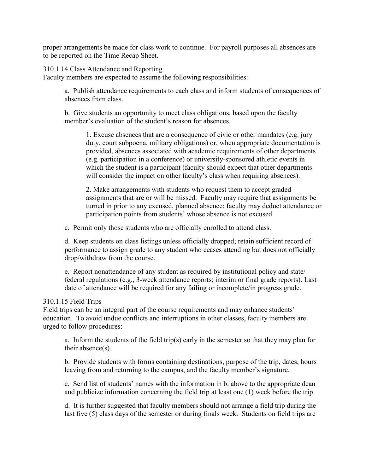proper arrangements be made for class work to continue. For payroll purposes all absences are to be reported on the Time Recap Sheet.

310.1.14 Class Attendance and Reporting

Faculty members are expected to assume the following responsibilities:

a. Publish attendance requirements to each class and inform students of consequences of absences from class.

b. Give students an opportunity to meet class obligations, based upon the faculty member's evaluation of the student's reason for absences.

1. Excuse absences that are a consequence of civic or other mandates (e.g. jury duty, court subpoena, military obligations) or, when appropriate documentation is provided, absences associated with academic requirements of other departments (e.g. participation in a conference) or university-sponsored athletic events in which the student is a participant (faculty should expect that other departments will consider the impact on other faculty's class when requiring absences).

2. Make arrangements with students who request them to accept graded assignments that are or will be missed. Faculty may require that assignments be turned in prior to any excused, planned absence; faculty may deduct attendance or participation points from students' whose absence is not excused.

c. Permit only those students who are officially enrolled to attend class.

d. Keep students on class listings unless officially dropped; retain sufficient record of performance to assign grade to any student who ceases attending but does not officially drop/withdraw from the course.

e. Report nonattendance of any student as required by institutional policy and state/ federal regulations (e.g., 3-week attendance reports; interim or final grade reports). Last date of attendance will be required for any failing or incomplete/in progress grade.

# 310.1.15 Field Trips

Field trips can be an integral part of the course requirements and may enhance students' education. To avoid undue conflicts and interruptions in other classes, faculty members are urged to follow procedures:

a. Inform the students of the field trip(s) early in the semester so that they may plan for their absence(s).

b. Provide students with forms containing destinations, purpose of the trip, dates, hours leaving from and returning to the campus, and the faculty member's signature.

c. Send list of students' names with the information in b. above to the appropriate dean and publicize information concerning the field trip at least one (1) week before the trip.

d. It is further suggested that faculty members should not arrange a field trip during the last five (5) class days of the semester or during finals week. Students on field trips are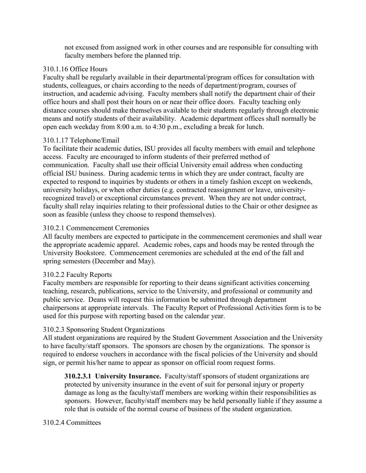not excused from assigned work in other courses and are responsible for consulting with faculty members before the planned trip.

# 310.1.16 Office Hours

Faculty shall be regularly available in their departmental/program offices for consultation with students, colleagues, or chairs according to the needs of department/program, courses of instruction, and academic advising. Faculty members shall notify the department chair of their office hours and shall post their hours on or near their office doors. Faculty teaching only distance courses should make themselves available to their students regularly through electronic means and notify students of their availability. Academic department offices shall normally be open each weekday from 8:00 a.m. to 4:30 p.m., excluding a break for lunch.

# 310.1.17 Telephone/Email

To facilitate their academic duties, ISU provides all faculty members with email and telephone access. Faculty are encouraged to inform students of their preferred method of communication. Faculty shall use their official University email address when conducting official ISU business. During academic terms in which they are under contract, faculty are expected to respond to inquiries by students or others in a timely fashion except on weekends, university holidays, or when other duties (e.g. contracted reassignment or leave, universityrecognized travel) or exceptional circumstances prevent. When they are not under contract, faculty shall relay inquiries relating to their professional duties to the Chair or other designee as soon as feasible (unless they choose to respond themselves).

# 310.2.1 Commencement Ceremonies

All faculty members are expected to participate in the commencement ceremonies and shall wear the appropriate academic apparel. Academic robes, caps and hoods may be rented through the University Bookstore. Commencement ceremonies are scheduled at the end of the fall and spring semesters (December and May).

## 310.2.2 Faculty Reports

Faculty members are responsible for reporting to their deans significant activities concerning teaching, research, publications, service to the University, and professional or community and public service. Deans will request this information be submitted through department chairpersons at appropriate intervals. The Faculty Report of Professional Activities form is to be used for this purpose with reporting based on the calendar year.

## 310.2.3 Sponsoring Student Organizations

All student organizations are required by the Student Government Association and the University to have faculty/staff sponsors. The sponsors are chosen by the organizations. The sponsor is required to endorse vouchers in accordance with the fiscal policies of the University and should sign, or permit his/her name to appear as sponsor on official room request forms.

**310.2.3.1 University Insurance.** Faculty/staff sponsors of student organizations are protected by university insurance in the event of suit for personal injury or property damage as long as the faculty/staff members are working within their responsibilities as sponsors. However, faculty/staff members may be held personally liable if they assume a role that is outside of the normal course of business of the student organization.

# 310.2.4 Committees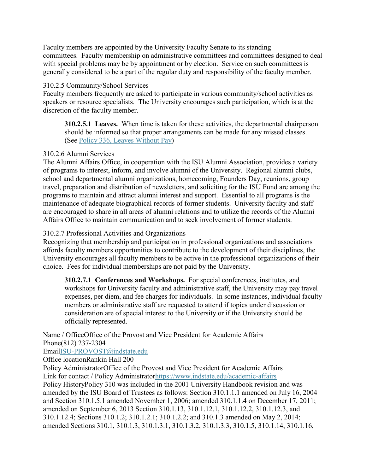Faculty members are appointed by the University Faculty Senate to its standing committees. Faculty membership on administrative committees and committees designed to deal with special problems may be by appointment or by election. Service on such committees is generally considered to be a part of the regular duty and responsibility of the faculty member.

# 310.2.5 Community/School Services

Faculty members frequently are asked to participate in various community/school activities as speakers or resource specialists. The University encourages such participation, which is at the discretion of the faculty member.

**310.2.5.1 Leaves.** When time is taken for these activities, the departmental chairperson should be informed so that proper arrangements can be made for any missed classes. (See [Policy 336, Leaves Without Pay\)](http://www.indstate.edu/policy-library/leaves-without-pay)

# 310.2.6 Alumni Services

The Alumni Affairs Office, in cooperation with the ISU Alumni Association, provides a variety of programs to interest, inform, and involve alumni of the University. Regional alumni clubs, school and departmental alumni organizations, homecoming, Founders Day, reunions, group travel, preparation and distribution of newsletters, and soliciting for the ISU Fund are among the programs to maintain and attract alumni interest and support. Essential to all programs is the maintenance of adequate biographical records of former students. University faculty and staff are encouraged to share in all areas of alumni relations and to utilize the records of the Alumni Affairs Office to maintain communication and to seek involvement of former students.

# 310.2.7 Professional Activities and Organizations

Recognizing that membership and participation in professional organizations and associations affords faculty members opportunities to contribute to the development of their disciplines, the University encourages all faculty members to be active in the professional organizations of their choice. Fees for individual memberships are not paid by the University.

**310.2.7.1 Conferences and Workshops.** For special conferences, institutes, and workshops for University faculty and administrative staff, the University may pay travel expenses, per diem, and fee charges for individuals. In some instances, individual faculty members or administrative staff are requested to attend if topics under discussion or consideration are of special interest to the University or if the University should be officially represented.

Name / OfficeOffice of the Provost and Vice President for Academic Affairs Phone(812) 237-2304

## Emai[lISU-PROVOST@indstate.edu](mailto:ISU-PROVOST@indstate.edu)

Office locationRankin Hall 200

Policy AdministratorOffice of the Provost and Vice President for Academic Affairs Link for contact / Policy Administrato[rhttps://www.indstate.edu/academic-affairs](https://www.indstate.edu/academic-affairs) Policy HistoryPolicy 310 was included in the 2001 University Handbook revision and was amended by the ISU Board of Trustees as follows: Section 310.1.1.1 amended on July 16, 2004 and Section 310.1.5.1 amended November 1, 2006; amended 310.1.1.4 on December 17, 2011; amended on September 6, 2013 Section 310.1.13, 310.1.12.1, 310.1.12.2, 310.1.12.3, and 310.1.12.4; Sections 310.1.2; 310.1.2.1; 310.1.2.2; and 310.1.3 amended on May 2, 2014; amended Sections 310.1, 310.1.3, 310.1.3.1, 310.1.3.2, 310.1.3.3, 310.1.5, 310.1.14, 310.1.16,